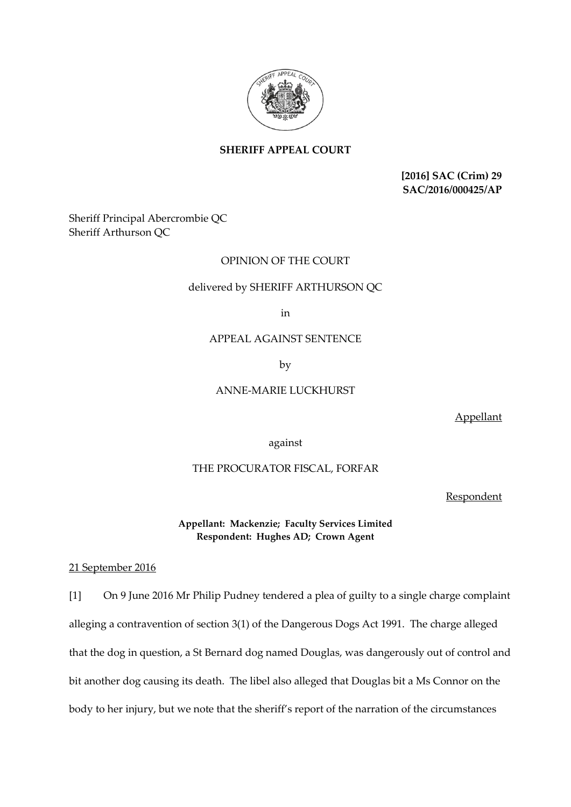

# **SHERIFF APPEAL COURT**

**[2016] SAC (Crim) 29 SAC/2016/000425/AP**

Sheriff Principal Abercrombie QC Sheriff Arthurson QC

# OPINION OF THE COURT

### delivered by SHERIFF ARTHURSON QC

in

#### APPEAL AGAINST SENTENCE

by

### ANNE-MARIE LUCKHURST

Appellant

against

## THE PROCURATOR FISCAL, FORFAR

**Respondent** 

**Appellant: Mackenzie; Faculty Services Limited Respondent: Hughes AD; Crown Agent**

21 September 2016

[1] On 9 June 2016 Mr Philip Pudney tendered a plea of guilty to a single charge complaint alleging a contravention of section 3(1) of the Dangerous Dogs Act 1991. The charge alleged that the dog in question, a St Bernard dog named Douglas, was dangerously out of control and bit another dog causing its death. The libel also alleged that Douglas bit a Ms Connor on the body to her injury, but we note that the sheriff's report of the narration of the circumstances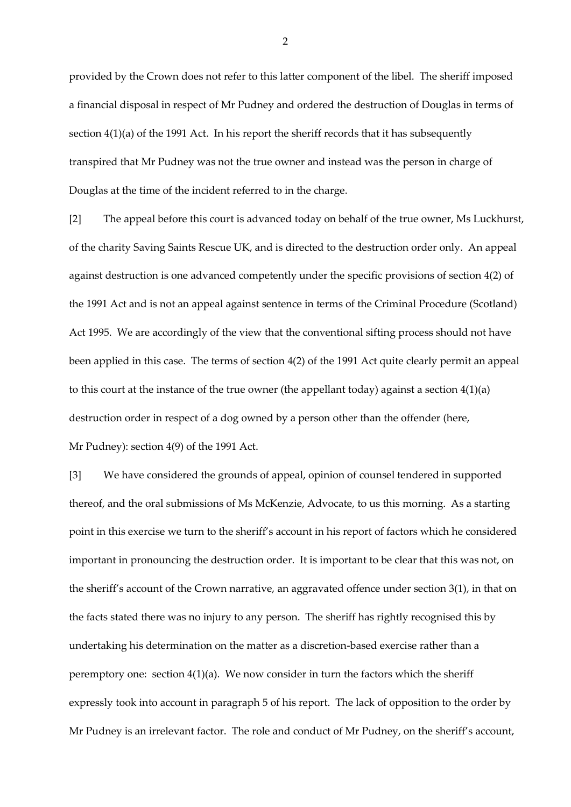provided by the Crown does not refer to this latter component of the libel. The sheriff imposed a financial disposal in respect of Mr Pudney and ordered the destruction of Douglas in terms of section 4(1)(a) of the 1991 Act. In his report the sheriff records that it has subsequently transpired that Mr Pudney was not the true owner and instead was the person in charge of Douglas at the time of the incident referred to in the charge.

[2] The appeal before this court is advanced today on behalf of the true owner, Ms Luckhurst, of the charity Saving Saints Rescue UK, and is directed to the destruction order only. An appeal against destruction is one advanced competently under the specific provisions of section 4(2) of the 1991 Act and is not an appeal against sentence in terms of the Criminal Procedure (Scotland) Act 1995. We are accordingly of the view that the conventional sifting process should not have been applied in this case. The terms of section 4(2) of the 1991 Act quite clearly permit an appeal to this court at the instance of the true owner (the appellant today) against a section 4(1)(a) destruction order in respect of a dog owned by a person other than the offender (here, Mr Pudney): section 4(9) of the 1991 Act.

[3] We have considered the grounds of appeal, opinion of counsel tendered in supported thereof, and the oral submissions of Ms McKenzie, Advocate, to us this morning. As a starting point in this exercise we turn to the sheriff's account in his report of factors which he considered important in pronouncing the destruction order. It is important to be clear that this was not, on the sheriff's account of the Crown narrative, an aggravated offence under section 3(1), in that on the facts stated there was no injury to any person. The sheriff has rightly recognised this by undertaking his determination on the matter as a discretion-based exercise rather than a peremptory one: section  $4(1)(a)$ . We now consider in turn the factors which the sheriff expressly took into account in paragraph 5 of his report. The lack of opposition to the order by Mr Pudney is an irrelevant factor. The role and conduct of Mr Pudney, on the sheriff's account,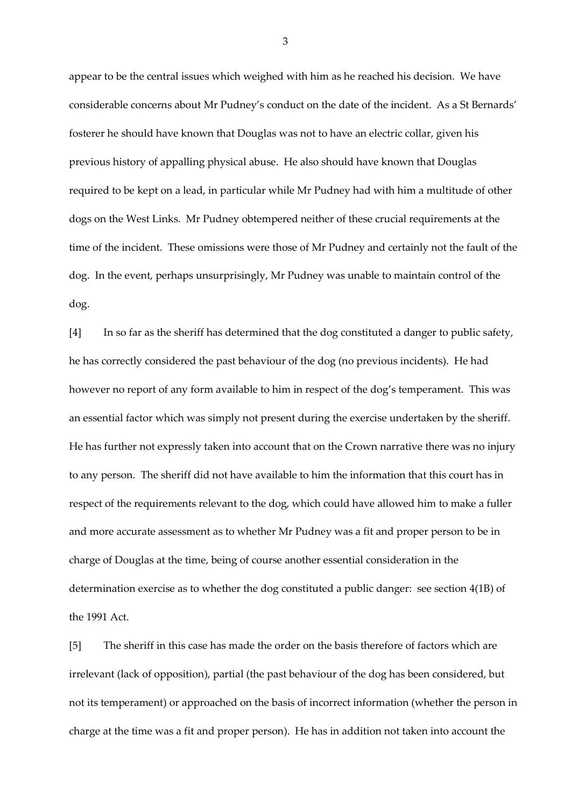appear to be the central issues which weighed with him as he reached his decision. We have considerable concerns about Mr Pudney's conduct on the date of the incident. As a St Bernards' fosterer he should have known that Douglas was not to have an electric collar, given his previous history of appalling physical abuse. He also should have known that Douglas required to be kept on a lead, in particular while Mr Pudney had with him a multitude of other dogs on the West Links. Mr Pudney obtempered neither of these crucial requirements at the time of the incident. These omissions were those of Mr Pudney and certainly not the fault of the dog. In the event, perhaps unsurprisingly, Mr Pudney was unable to maintain control of the dog.

[4] In so far as the sheriff has determined that the dog constituted a danger to public safety, he has correctly considered the past behaviour of the dog (no previous incidents). He had however no report of any form available to him in respect of the dog's temperament. This was an essential factor which was simply not present during the exercise undertaken by the sheriff. He has further not expressly taken into account that on the Crown narrative there was no injury to any person. The sheriff did not have available to him the information that this court has in respect of the requirements relevant to the dog, which could have allowed him to make a fuller and more accurate assessment as to whether Mr Pudney was a fit and proper person to be in charge of Douglas at the time, being of course another essential consideration in the determination exercise as to whether the dog constituted a public danger: see section 4(1B) of the 1991 Act.

[5] The sheriff in this case has made the order on the basis therefore of factors which are irrelevant (lack of opposition), partial (the past behaviour of the dog has been considered, but not its temperament) or approached on the basis of incorrect information (whether the person in charge at the time was a fit and proper person). He has in addition not taken into account the

3